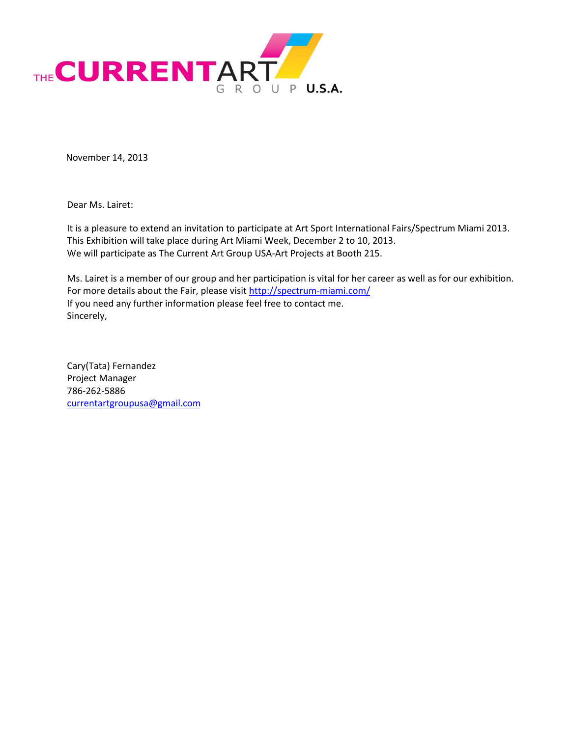

November 14, 2013

Dear Ms. Lairet:

It is a pleasure to extend an invitation to participate at Art Sport International Fairs/Spectrum Miami 2013. This Exhibition will take place during Art Miami Week, December 2 to 10, 2013. We will participate as The Current Art Group USA-Art Projects at Booth 215.

Ms. Lairet is a member of our group and her participation is vital for her career as well as for our exhibition. For more details about the Fair, please visi[t http://spectrum-miami.com/](http://spectrum-miami.com/) If you need any further information please feel free to contact me. Sincerely,

Cary(Tata) Fernandez Project Manager 786-262-5886 [currentartgroupusa@gmail.com](mailto:currentartgroupusa@gmail.com)